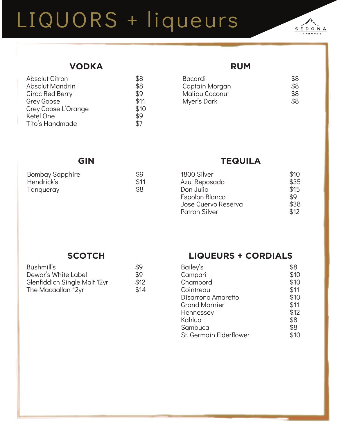# LIQUORS + liqueurs



## **VODKA**

| <b>Absolut Citron</b> | \$8  |
|-----------------------|------|
| Absolut Mandrin       | \$8  |
| Ciroc Red Berry       | \$9  |
| <b>Grey Goose</b>     | \$11 |
| Grey Goose L'Orange   | \$10 |
| Ketel One             | \$9  |
| Tito's Handmade       | \$7  |
|                       |      |

#### **RUM**

| <b>Bacardi</b> | \$8 |
|----------------|-----|
| Captain Morgan | \$8 |
| Malibu Coconut | \$8 |
| Myer's Dark    | \$8 |
|                |     |

## **GIN**

| <b>Bombay Sapphire</b> | \$9  |
|------------------------|------|
| Hendrick's             | \$11 |
| Tangueray              | \$8  |

# **TEQUILA**

| \$10 |
|------|
| \$35 |
| \$15 |
| \$9  |
| \$38 |
| \$12 |
|      |

#### **SCOTCH**

| Bushmill's                   | \$9  |
|------------------------------|------|
| Dewar's White Label          | \$9  |
| Glenfiddich Single Malt 12yr | \$12 |
| The Macaallan 12yr           | \$14 |

### **LIQUEURS + CORDIALS**

| Bailey's                | \$8  |
|-------------------------|------|
| Campari                 | \$10 |
| Chambord                | \$10 |
| Cointreau               | \$11 |
| Disarrono Amaretto      | \$10 |
| <b>Grand Marnier</b>    | \$11 |
| Hennessey               | \$12 |
| Kahlua                  | \$8  |
| Sambuca                 | \$8  |
| St. Germain Elderflower | \$10 |